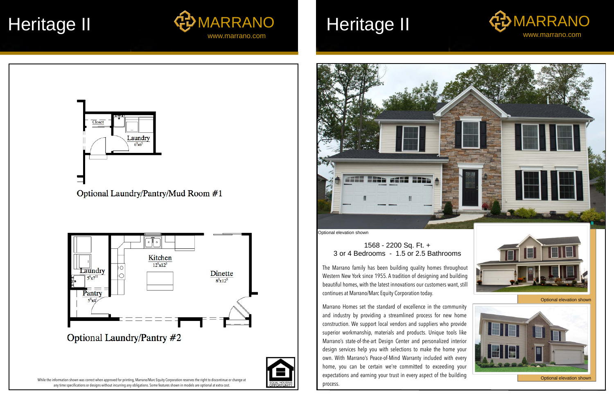# 1568 - 2200 Sq. Ft. + 3 or 4 Bedrooms - 1.5 or 2.5 Bathrooms

While the information shown was correct when approved for printing, Marrano/Marc Equity Corporation reserves the right to discontinue or change at any time specifications or designs without incurring any obligations. Some features shown in models are optional at extra cost.







The Marrano family has been building quality homes throughout Western New York since 1955. A tradition of designing and building beautiful homes, with the latest innovations our customers want, still continues at Marrano/Marc Equity Corporation today.

Marrano Homes set the standard of excellence in the community and industry by providing a streamlined process for new home construction. We support local vendors and suppliers who provide superior workmanship, materials and products. Unique tools like Marrano's state-of-the-art Design Center and personalized interior design services help you with selections to make the home your own. With Marrano's Peace-of-Mind Warranty included with every home, you can be certain we're committed to exceeding your expectations and earning your trust in every aspect of the building process.





Optional elevation shown



Optional elevation shown